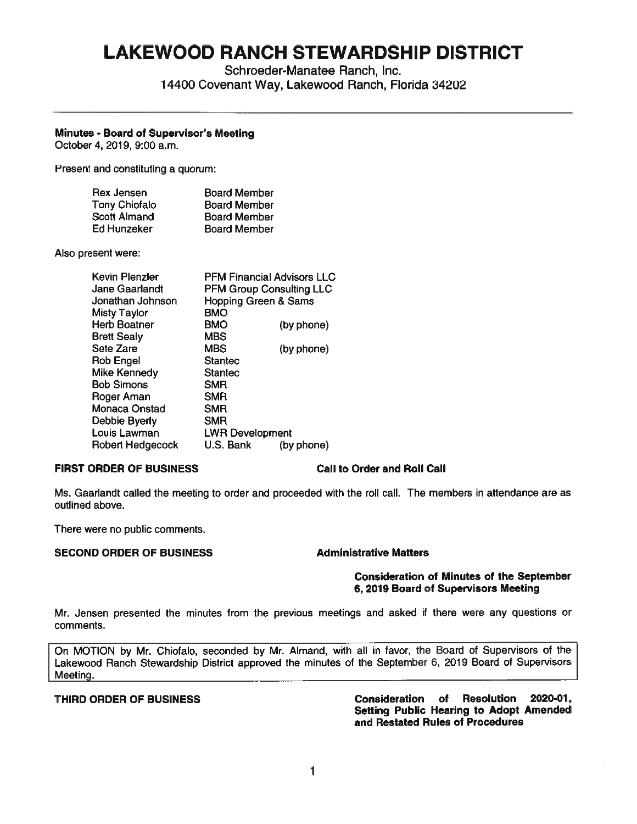# **LAKEWOOD RANCH STEWARDSHIP DISTRICT**

Schroeder-Manatee Ranch, Inc. 14400 Covenant Way, Lakewood Ranch, Florida 34202

# **Minutes** - **Board of Supervisor's Meeting**

October 4, 2019, 9:00 a.m.

Present and constituting a quorum:

| Rex Jensen           | <b>Board Member</b> |
|----------------------|---------------------|
| <b>Tony Chiofalo</b> | <b>Board Member</b> |
| Scott Almand         | <b>Board Member</b> |
| Ed Hunzeker          | <b>Board Member</b> |

Also present were:

| <b>PFM Financial Advisors LLC</b> |            |
|-----------------------------------|------------|
| <b>PFM Group Consulting LLC</b>   |            |
| <b>Hopping Green &amp; Sams</b>   |            |
| <b>BMO</b>                        |            |
| <b>BMO</b>                        | (by phone) |
| <b>MBS</b>                        |            |
| <b>MBS</b>                        | (by phone) |
| <b>Stantec</b>                    |            |
| <b>Stantec</b>                    |            |
| <b>SMR</b>                        |            |
| <b>SMR</b>                        |            |
| <b>SMR</b>                        |            |
| <b>SMR</b>                        |            |
| <b>LWR Development</b>            |            |
| U.S. Bank                         | (by phone) |
|                                   |            |

# **FIRST ORDER OF BUSINESS Call to Order and Roll Call**

Ms. Gaarlandt called the meeting to order and proceeded with the roll call. The members in attendance are as outlined above.

There were no public comments.

# **SECOND ORDER OF BUSINESS Administrative Matters**

### **Consideration of Minutes of the September 6, 2019 Board of Supervisors Meeting**

Mr. Jensen presented the minutes from the previous meetings and asked if there were any questions or comments.

On MOTION by Mr. Chiofalo, seconded by Mr. Almand, with all in favor, the Board of Supervisors of the Lakewood Ranch Stewardship District approved the minutes of the September 6, 2019 Board of Supervisors Meeting.

**THIRD ORDER OF BUSINESS Consideration of Resolution 2020-01, Setting Public Hearing to Adopt Amended and Restated Rules of Procedures**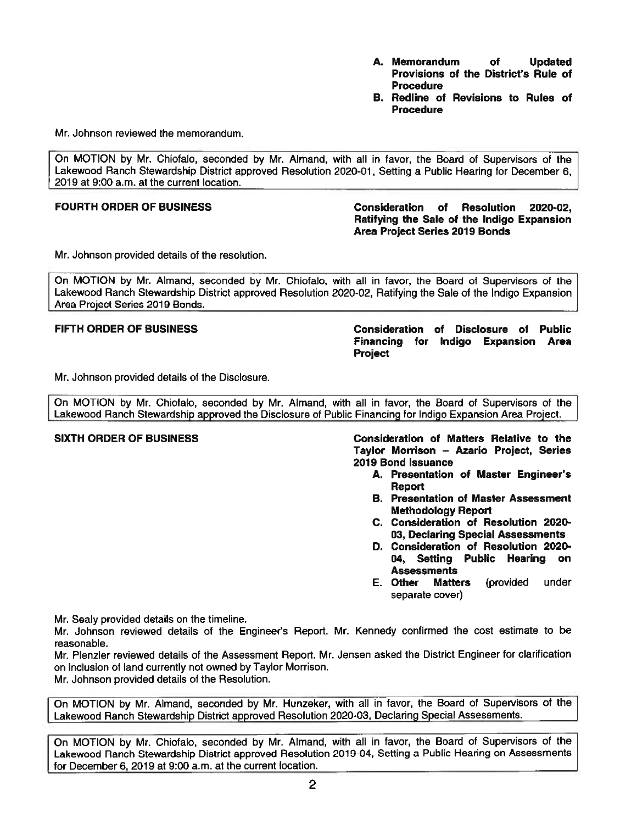- **A. Memorandum of Updated Provisions of the District's Rule of Procedure**
- **B. Redline of Revisions to Rules of Procedure**

Mr. Johnson reviewed the memorandum.

On MOTION by Mr. Chiofalo, seconded by Mr. Almand, with all in favor, the Board of Supervisors of the Lakewood Ranch Stewardship District approved Resolution 2020-01, Setting a Public Hearing for December 6, 2019 at 9:00 a.m. at the current location.

## **FOURTH ORDER OF BUSINESS Consideration of Resolution 2020-02, Ratifying the Sale of the Indigo Expansion Area Project Series 2019 Bonds**

Mr. Johnson provided details of the resolution.

On MOTION by Mr. Almand, seconded by Mr. Chiofalo, with all in favor, the Board of Supervisors of the Lakewood Ranch Stewardship District approved Resolution 2020-02, Ratifying the Sale of the Indigo Expansion Area Project Series 2019 Bonds.

**FIFTH ORDER OF BUSINESS Consideration of Disclosure of Public Financing for Indigo Expansion Area Project** 

Mr. Johnson provided details of the Disclosure.

On MOTION by Mr. Chiofalo, seconded by Mr. Almand, with all in favor, the Board of Supervisors of the Lakewood Ranch Stewardship approved the Disclosure of Public Financing for Indigo Expansion Area Project.

**SIXTH ORDER OF BUSINESS Consideration of Matters Relative to the Taylor Morrison** - **Azario Project, Series 2019 Bond Issuance** 

- A. Presentation of Master Engineer's **Report**
- B. Presentation of Master Assessment **Methodology Report**
- **C. Consideration of Resolution 2020- 03, Declaring Special Assessments**
- **D. Consideration of Resolution 2020- 04, Setting Public Hearing on Assessments**
- E. **Other Matters** (provided under separate cover)

Mr. Sealy provided details on the timeline.

Mr. Johnson reviewed details of the Engineer's Report. Mr. Kennedy confirmed the cost estimate to be reasonable.

Mr. Plenzler reviewed details of the Assessment Report. Mr. Jensen asked the District Engineer for clarification on inclusion of land currently not owned by Taylor Morrison.

Mr. Johnson provided details of the Resolution.

On MOTION by Mr. Almand, seconded by Mr. Hunzeker, with all in favor, the Board of Supervisors of the Lakewood Ranch Stewardship District approved Resolution 2020-03, Declaring Special Assessments.

On MOTION by Mr. Chiofalo, seconded by Mr. Almand, with all in favor, the Board of Supervisors of the Lakewood Ranch Stewardship District approved Resolution 2019-04, Setting a Public Hearing on Assessments for December 6, 2019 at 9:00 a.m. at the current location.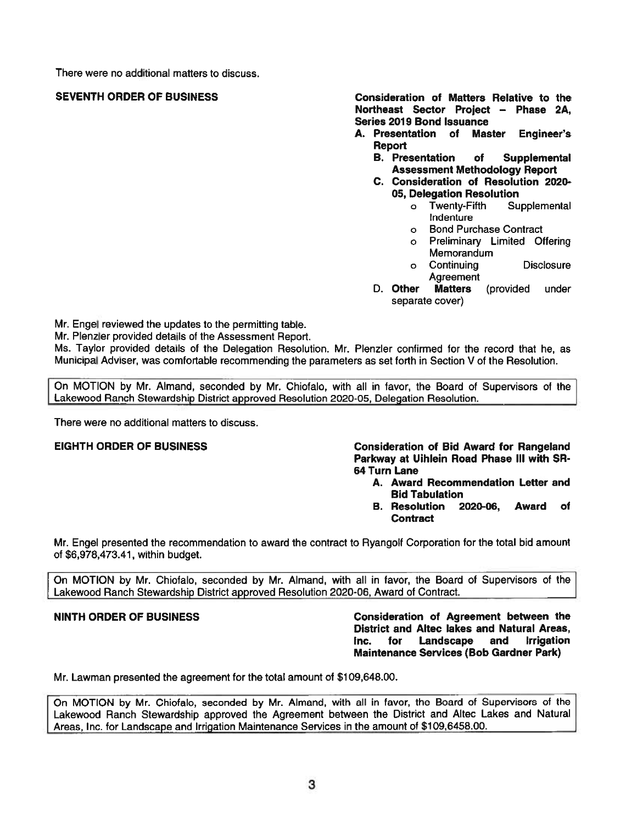There were no additional matters to discuss.

**SEVENTH ORDER OF BUSINESS Consideration of Matters Relative to the Northeast Sector Proiect** - **Phase 2A, Series 2019 Bond Issuance** 

- **A. Presentation of Master Engineer's Report** 
	- **B. Presentation of Supplemental Assessment Methodology Report**
	- **C. Consideration of Resolution 2020- 05, Delegation Resolution** 
		- <sup>o</sup>Twenty-Fifth Supplemental Indenture
		- o Bond Purchase Contract
		- o Preliminary Limited Offering **Memorandum**
		- <sup>o</sup>Continuing Disclosure Agreement
	- D. **Other Matters** (provided under separate cover)

Mr. Engel reviewed the updates to the permitting table.

Mr. Plenzler provided details of the Assessment Report.

Ms. Taylor provided details of the Delegation Resolution. Mr. Plenzler confirmed for the record that he, as Municipal Adviser, was comfortable recommending the parameters as set forth in Section V of the Resolution.

On MOTION by Mr. Almand, seconded by Mr. Chiofalo, with all in favor, the Board of Supervisors of the Lakewood Ranch Stewardship District approved Resolution 2020-05, Delegation Resolution.

There were no additional matters to discuss.

# **EIGHTH ORDER OF BUSINESS** Consideration of Bid Award for Rangeland Parkway at Uihlein Road Phase Ill with SR-64 Turn Lane

- A. Award Recommendation Letter and Bid Tabulation
- **B. Resolution 2020-06, Award of Contract**

Mr. Engel presented the recommendation to award the contract to Ryangolf Corporation for the total bid amount of \$[6,978,473.41](https://6,978,473.41), within budget.

On MOTION by Mr. Chiofalo, seconded by Mr. Almand, with all in favor, the Board of Supervisors of the Lakewood Ranch Stewardship District approved Resolution 2020-06, Award of Contract.

**NINTH ORDER OF BUSINESS Consideration of Agreement between the District and Altec lakes and Natural Areas, Inc. for Landscape and Irrigation Maintenance Services (Bob Gardner Park)** 

Mr. Lawman presented the agreement for the total amount of [\\$109,648.00](https://109,648.00).

On MOTION by Mr. Chiofalo, seconded by Mr. Almand, with all in favor, the Board of Supervisors of the Lakewood Ranch Stewardship approved the Agreement between the District and Altec Lakes and Natural Areas, Inc. for Landscape and Irrigation Maintenance Services in the amount of [\\$109,6458.00](https://109,6458.00).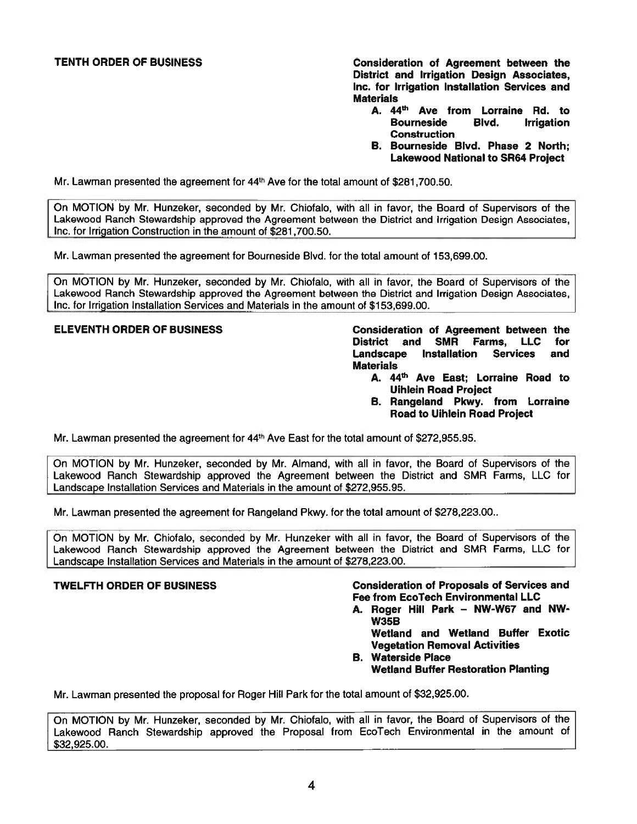TENTH ORDER OF BUSINESS **Consideration of Agreement between the District and Irrigation Design Associates,**  Inc. **for Irrigation Installation Services and Materials** 

- **44 A. <sup>111</sup> Ave from Lorraine Rd. to Bourneside Blvd. Irrigation Construction**
- **B. Bourneside Blvd. Phase 2 North; Lakewood National to SR64 Proiect**

Mr. Lawman presented the agreement for  $44<sup>th</sup>$  Ave for the total amount of \$[281,700.50](https://281,700.50).

On MOTION by Mr. Hunzeker, seconded by Mr. Chiofalo, with all in favor, the Board of Supervisors of the Lakewood Ranch Stewardship approved the Agreement between the District and Irrigation Design Associates, Inc. for Irrigation Construction in the amount of \$[281,700.50](https://281,700.50).

Mr. Lawman presented the agreement for Bourneside Blvd. for the total amount of [153,699.00](https://153,699.00).

On MOTION by Mr. Hunzeker, seconded by Mr. Chiofalo, with all in favor, the Board of Supervisors of the Lakewood Ranch Stewardship approved the Agreement between the District and Irrigation Design Associates, Inc. for Irrigation Installation Services and Materials in the amount of \$[153,699.00](https://153,699.00).

**ELEVENTH ORDER OF BUSINESS Consideration of Agreement between the District and SMR Farms,** LLC for **Landscape Installation Services and Materials** 

- A. 44<sup>th</sup> Ave East; Lorraine Road to **Uihlein Road Proiect**
- **B. Rangeland Pkwy. from Lorraine Road to Uihlein Road Proiect**

Mr. Lawman presented the agreement for **44th Ave** East for the total amount of [\\$272,955.95](https://272,955.95).

On MOTION by Mr. Hunzeker, seconded by Mr. Almand, with all in favor, the Board of Supervisors of the Lakewood Ranch Stewardship approved the Agreement between the District and SMR Farms, LLC for Landscape Installation Services and Materials in the amount of \$[272,955.95](https://272,955.95).

Mr. Lawman presented the agreement for Rangeland Pkwy. for the total amount of \$278,223.00..

On MOTION by Mr. Chiofalo, seconded by Mr. Hunzeker with all in favor, the Board of Supervisors of the Lakewood Ranch Stewardship approved the Agreement between the District and SMR Farms, LLC for Landscape Installation Services and Materials in the amount of \$[278,223.00](https://278,223.00).

### **TWELFTH ORDER OF BUSINESS Consideration of Proposals of Services and Fee from EcoTech Environmental LLC**

A. Roger Hill Park - NW-W67 and NW-**W35B** 

**Wetland and Wetland Buffer Exotic Vegetation Removal Activities** 

**B. Waterside Place Wetland Buffer Restoration Planting** 

Mr. Lawman presented the proposal for Roger Hill Park for the total amount of \$[32,925.00](https://32,925.00).

On MOTION by Mr. Hunzeker, seconded by Mr. Chiofalo, with all in favor, the Board of Supervisors of the Lakewood Ranch Stewardship approved the Proposal from EcoTech Environmental in the amount of \$[32,925.00](https://32,925.00).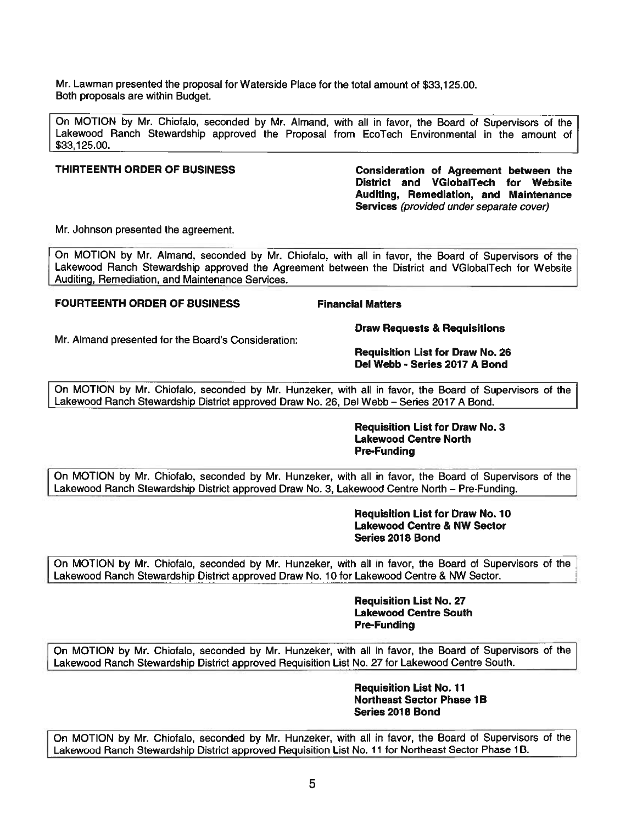Mr. Lawman presented the proposal for Waterside Place for the total amount of \$[33,125.00](https://33,125.00). Both proposals are within Budget.

On MOTION by Mr. Chiofalo, seconded by Mr. Almand, with all in favor, the Board of Supervisors of the Lakewood Ranch Stewardship approved the Proposal from EcoTech Environmental in the amount of \$33, 125.00.

**THIRTEENTH ORDER OF BUSINESS Consideration of Agreement between the District and VGlobalTech for Website Auditing, Remediation, and Maintenance Services** (provided under separate cover)

Mr. Johnson presented the agreement.

On MOTION by Mr. Almand, seconded by Mr. Chiofalo, with all in favor, the Board of Supervisors of the Lakewood Ranch Stewardship approved the Agreement between the District and VGlobalTech for Website Auditina, Remediation, and Maintenance Services.

# **FOURTEENTH ORDER OF BUSINESS FINANCIAL PROPERTY FINANCIAL Matters**

Mr. Almand presented for the Board's Consideration:

**Draw Requests & Requisitions** 

**Requisition List for Draw No. 26 Del Webb • Series 2017 A Bond** 

On MOTION by Mr. Chiofalo, seconded by Mr. Hunzeker, with all in favor, the Board of Supervisors of the Lakewood Ranch Stewardship District approved Draw No. 26, Del Webb-Series 2017 A Bond.

> **Requisition List for Draw No. 3 Lakewood Centre North Pre-Funding**

On MOTION by Mr. Chiofalo, seconded by Mr. Hunzeker, with all in favor, the Board of Supervisors of the Lakewood Ranch Stewardship District approved Draw No. 3, Lakewood Centre North - Pre-Funding.

> **Requisition List for Draw No. 10 Lakewood Centre & NW Sector Series 2018 Bond**

On MOTION by Mr. Chiofalo, seconded by Mr. Hunzeker, with all in favor, the Board of Supervisors of the Lakewood Ranch Stewardship District approved Draw No. 10 for Lakewood Centre & NW Sector.

> **Requisition List No. 27 Lakewood Centre South Pre-Funding**

On MOTION by Mr. Chiofalo, seconded by Mr. Hunzeker, with all in favor, the Board of Supervisors of the Lakewood Ranch Stewardship District approved Requisition List No. 27 for Lakewood Centre South.

> **Requisition List No. 11 Northeast Sector Phase 1B Series 2018 Bond**

On MOTION by Mr. Chiofalo, seconded by Mr. Hunzeker, with all in favor, the Board of Supervisors of the Lakewood Ranch Stewardship District approved Requisition List No. 11 for Northeast Sector Phase 1B.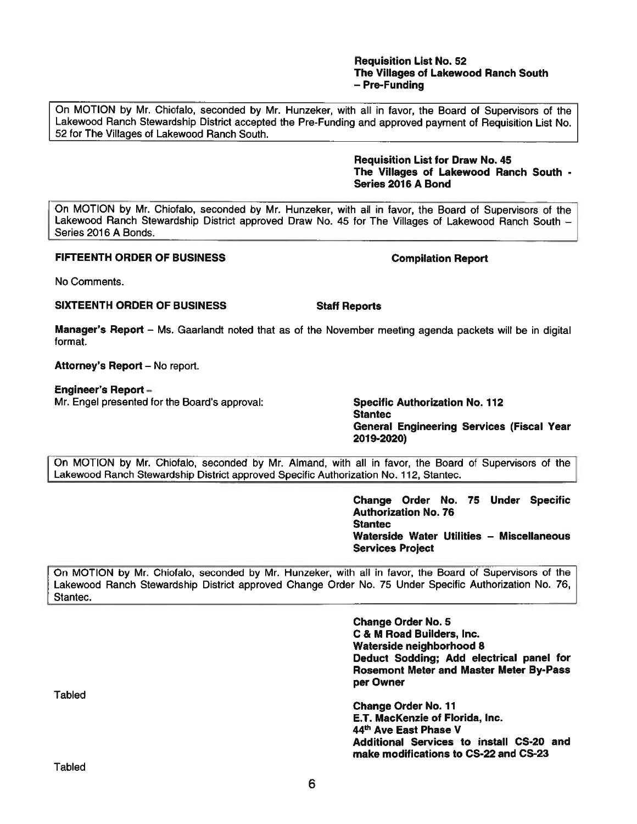# **Requisition List No. 52 The Villages of Lakewood Ranch South**  - **Pre-Funding**

On MOTION by Mr. Chiofalo, seconded by Mr. Hunzeker, with all in favor, the Board of Supervisors of the Lakewood Ranch Stewardship District accepted the Pre-Funding and approved payment of Requisition List No. 52 for The Villages of Lakewood Ranch South.

> **Requisition List for Draw No. 45 The Villages of Lakewood Ranch South** • **Series 2016 A Bond**

On MOTION by Mr. Chiofalo, seconded by Mr. Hunzeker, with all in favor, the Board of Supervisors of the Lakewood Ranch Stewardship District approved Draw No. 45 for The Villages of Lakewood Ranch South -Series 2016 A Bonds.

# **FIFTEENTH ORDER OF BUSINESS** Compilation Report

No Comments.

# **SIXTEENTH ORDER OF BUSINESS STATES Staff Reports**

**Manager's Report** - Ms. Gaarlandt noted that as of the November meeting agenda packets will be in digital format.

Attorney's Report - No report.

# **Engineer's Report** -

Mr. Engel presented for the Board's approval: **Specific Authorization No. 112** 

**Stantec General Engineering Services (Fiscal Year 2019-2020)** 

On MOTION by Mr. Chiofalo, seconded by Mr. Almand, with all in favor, the Board of Supervisors of the Lakewood Ranch Stewardship District approved Specific Authorization No. 112, Stantec.

> **Change Order No. 75 Under Specific Authorization No. 76 Stantec**  Waterside Water Utilities - Miscellaneous **Services Project**

On MOTION by Mr. Chiofalo, seconded by Mr. Hunzeker, with all in favor, the Board of Supervisors of the Lakewood Ranch Stewardship District approved Change Order No. 75 Under Specific Authorization No. 76, Stantec.

> **Change Order No. 5 C** & **M Road Builders, Inc. Waterside neighborhood 8 Deduct Sodding; Add electrical panel for Rosemont Meter and Master Meter By-Pass per Owner**

> **Change Order No. 11 E.T. MacKenzie of Florida, Inc. 44th Ave East Phase V Additional Services to install CS-20 and make modifications to CS-22 and CS-23**

**Tabled** 

Tabled